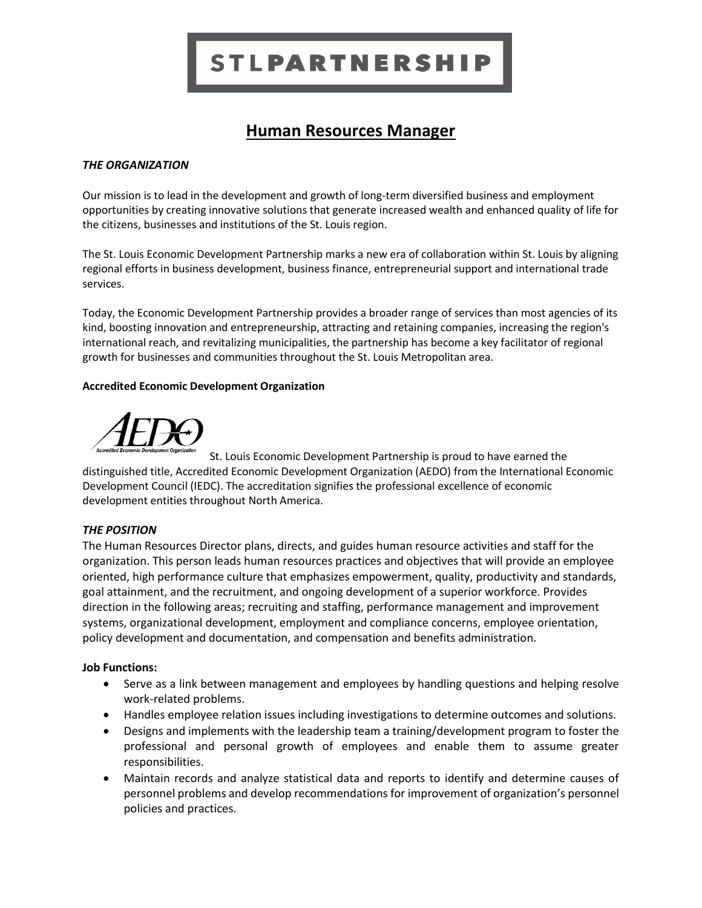# **STLPARTNERSHIP**

# **Human Resources Manager**

#### *THE ORGANIZATION*

Our mission is to lead in the development and growth of long-term diversified business and employment opportunities by creating innovative solutions that generate increased wealth and enhanced quality of life for the citizens, businesses and institutions of the St. Louis region.

The St. Louis Economic Development Partnership marks a new era of collaboration within St. Louis by aligning regional efforts in business development, business finance, entrepreneurial support and international trade services.

Today, the Economic Development Partnership provides a broader range of services than most agencies of its kind, boosting innovation and entrepreneurship, attracting and retaining companies, increasing the region's international reach, and revitalizing municipalities, the partnership has become a key facilitator of regional growth for businesses and communities throughout the St. Louis Metropolitan area.

#### **Accredited Economic Development Organization**



St. Louis Economic Development Partnership is proud to have earned the distinguished title, Accredited Economic Development Organization (AEDO) from the International Economic Development Council (IEDC). The accreditation signifies the professional excellence of economic development entities throughout North America.

# *THE POSITION*

The Human Resources Director plans, directs, and guides human resource activities and staff for the organization. This person leads human resources practices and objectives that will provide an employee oriented, high performance culture that emphasizes empowerment, quality, productivity and standards, goal attainment, and the recruitment, and ongoing development of a superior workforce. Provides direction in the following areas; recruiting and staffing, performance management and improvement systems, organizational development, employment and compliance concerns, employee orientation, policy development and documentation, and compensation and benefits administration.

#### **Job Functions:**

- Serve as a link between management and employees by handling questions and helping resolve work-related problems.
- Handles employee relation issues including investigations to determine outcomes and solutions.
- Designs and implements with the leadership team a training/development program to foster the professional and personal growth of employees and enable them to assume greater responsibilities.
- Maintain records and analyze statistical data and reports to identify and determine causes of personnel problems and develop recommendations for improvement of organization's personnel policies and practices.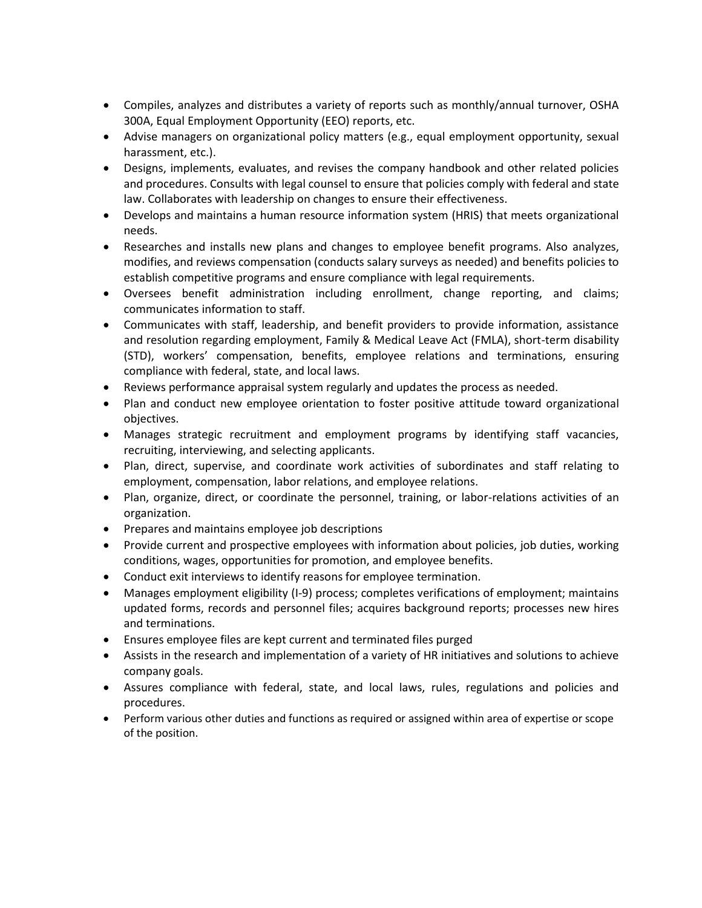- Compiles, analyzes and distributes a variety of reports such as monthly/annual turnover, OSHA 300A, Equal Employment Opportunity (EEO) reports, etc.
- Advise managers on organizational policy matters (e.g., equal employment opportunity, sexual harassment, etc.).
- Designs, implements, evaluates, and revises the company handbook and other related policies and procedures. Consults with legal counsel to ensure that policies comply with federal and state law. Collaborates with leadership on changes to ensure their effectiveness.
- Develops and maintains a human resource information system (HRIS) that meets organizational needs.
- Researches and installs new plans and changes to employee benefit programs. Also analyzes, modifies, and reviews compensation (conducts salary surveys as needed) and benefits policies to establish competitive programs and ensure compliance with legal requirements.
- Oversees benefit administration including enrollment, change reporting, and claims; communicates information to staff.
- Communicates with staff, leadership, and benefit providers to provide information, assistance and resolution regarding employment, Family & Medical Leave Act (FMLA), short-term disability (STD), workers' compensation, benefits, employee relations and terminations, ensuring compliance with federal, state, and local laws.
- Reviews performance appraisal system regularly and updates the process as needed.
- Plan and conduct new employee orientation to foster positive attitude toward organizational objectives.
- Manages strategic recruitment and employment programs by identifying staff vacancies, recruiting, interviewing, and selecting applicants.
- Plan, direct, supervise, and coordinate work activities of subordinates and staff relating to employment, compensation, labor relations, and employee relations.
- Plan, organize, direct, or coordinate the personnel, training, or labor-relations activities of an organization.
- Prepares and maintains employee job descriptions
- Provide current and prospective employees with information about policies, job duties, working conditions, wages, opportunities for promotion, and employee benefits.
- Conduct exit interviews to identify reasons for employee termination.
- Manages employment eligibility (I-9) process; completes verifications of employment; maintains updated forms, records and personnel files; acquires background reports; processes new hires and terminations.
- Ensures employee files are kept current and terminated files purged
- Assists in the research and implementation of a variety of HR initiatives and solutions to achieve company goals.
- Assures compliance with federal, state, and local laws, rules, regulations and policies and procedures.
- Perform various other duties and functions as required or assigned within area of expertise or scope of the position.